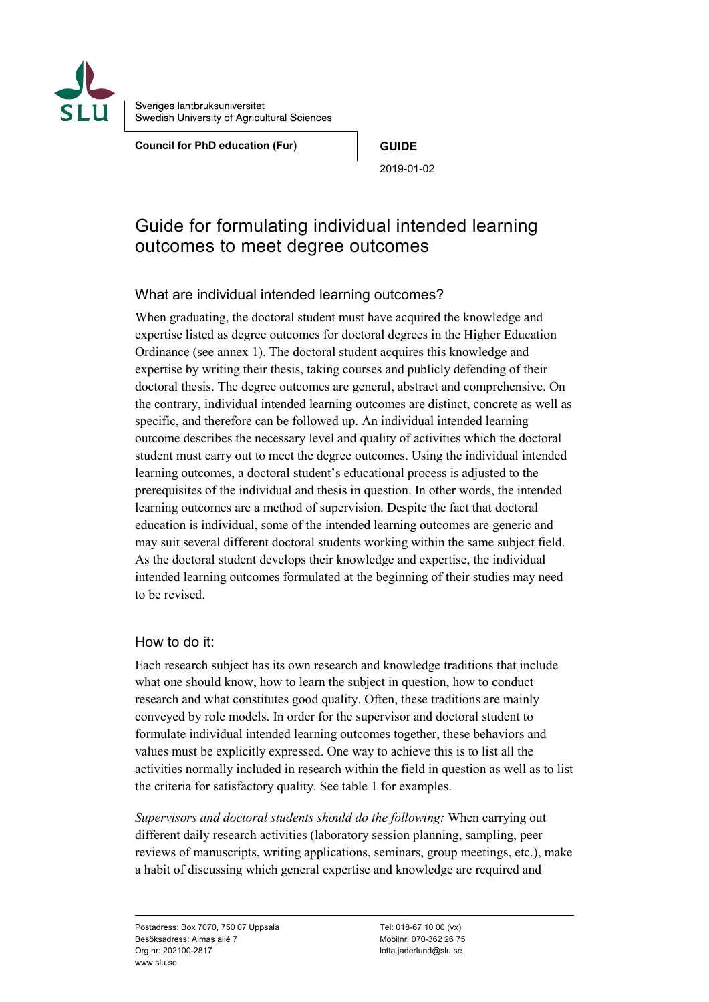

Sveriges lantbruksuniversitet Swedish University of Agricultural Sciences

**Council for PhD education (Fur) GUIDE**

2019-01-02

# Guide for formulating individual intended learning outcomes to meet degree outcomes

## What are individual intended learning outcomes?

When graduating, the doctoral student must have acquired the knowledge and expertise listed as degree outcomes for doctoral degrees in the Higher Education Ordinance (see annex 1). The doctoral student acquires this knowledge and expertise by writing their thesis, taking courses and publicly defending of their doctoral thesis. The degree outcomes are general, abstract and comprehensive. On the contrary, individual intended learning outcomes are distinct, concrete as well as specific, and therefore can be followed up. An individual intended learning outcome describes the necessary level and quality of activities which the doctoral student must carry out to meet the degree outcomes. Using the individual intended learning outcomes, a doctoral student's educational process is adjusted to the prerequisites of the individual and thesis in question. In other words, the intended learning outcomes are a method of supervision. Despite the fact that doctoral education is individual, some of the intended learning outcomes are generic and may suit several different doctoral students working within the same subject field. As the doctoral student develops their knowledge and expertise, the individual intended learning outcomes formulated at the beginning of their studies may need to be revised.

## How to do it:

Each research subject has its own research and knowledge traditions that include what one should know, how to learn the subject in question, how to conduct research and what constitutes good quality. Often, these traditions are mainly conveyed by role models. In order for the supervisor and doctoral student to formulate individual intended learning outcomes together, these behaviors and values must be explicitly expressed. One way to achieve this is to list all the activities normally included in research within the field in question as well as to list the criteria for satisfactory quality. See table 1 for examples.

*Supervisors and doctoral students should do the following:* When carrying out different daily research activities (laboratory session planning, sampling, peer reviews of manuscripts, writing applications, seminars, group meetings, etc.), make a habit of discussing which general expertise and knowledge are required and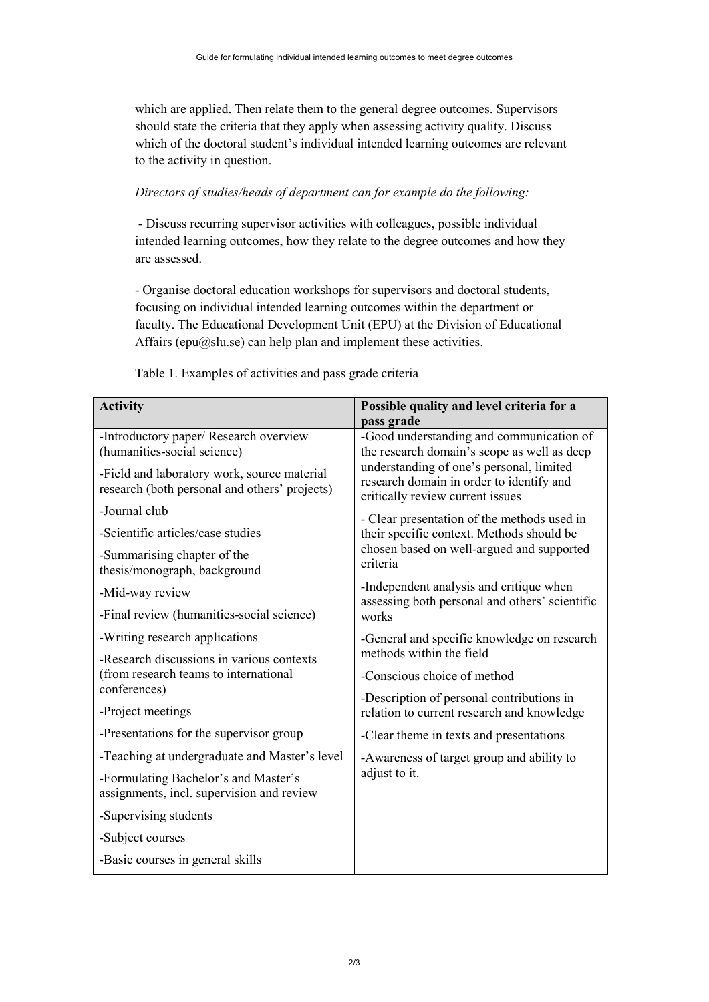which are applied. Then relate them to the general degree outcomes. Supervisors should state the criteria that they apply when assessing activity quality. Discuss which of the doctoral student's individual intended learning outcomes are relevant to the activity in question.

### *Directors of studies/heads of department can for example do the following:*

- Discuss recurring supervisor activities with colleagues, possible individual intended learning outcomes, how they relate to the degree outcomes and how they are assessed.

- Organise doctoral education workshops for supervisors and doctoral students, focusing on individual intended learning outcomes within the department or faculty. The Educational Development Unit (EPU) at the Division of Educational Affairs (epu@slu.se) can help plan and implement these activities.

| <b>Activity</b>                                                                              | Possible quality and level criteria for a                                                                                                                                                                           |  |  |
|----------------------------------------------------------------------------------------------|---------------------------------------------------------------------------------------------------------------------------------------------------------------------------------------------------------------------|--|--|
|                                                                                              | pass grade                                                                                                                                                                                                          |  |  |
| -Introductory paper/ Research overview<br>(humanities-social science)                        | -Good understanding and communication of<br>the research domain's scope as well as deep<br>understanding of one's personal, limited<br>research domain in order to identify and<br>critically review current issues |  |  |
| -Field and laboratory work, source material<br>research (both personal and others' projects) |                                                                                                                                                                                                                     |  |  |
| -Journal club                                                                                | - Clear presentation of the methods used in                                                                                                                                                                         |  |  |
| -Scientific articles/case studies                                                            | their specific context. Methods should be<br>chosen based on well-argued and supported<br>criteria                                                                                                                  |  |  |
| -Summarising chapter of the<br>thesis/monograph, background                                  |                                                                                                                                                                                                                     |  |  |
| -Mid-way review                                                                              | -Independent analysis and critique when<br>assessing both personal and others' scientific<br>works                                                                                                                  |  |  |
| -Final review (humanities-social science)                                                    |                                                                                                                                                                                                                     |  |  |
| -Writing research applications                                                               | -General and specific knowledge on research<br>methods within the field                                                                                                                                             |  |  |
| -Research discussions in various contexts                                                    |                                                                                                                                                                                                                     |  |  |
| (from research teams to international<br>conferences)                                        | -Conscious choice of method                                                                                                                                                                                         |  |  |
|                                                                                              | -Description of personal contributions in                                                                                                                                                                           |  |  |
| -Project meetings                                                                            | relation to current research and knowledge                                                                                                                                                                          |  |  |
| -Presentations for the supervisor group                                                      | -Clear theme in texts and presentations                                                                                                                                                                             |  |  |
| -Teaching at undergraduate and Master's level                                                | -Awareness of target group and ability to                                                                                                                                                                           |  |  |
| -Formulating Bachelor's and Master's<br>assignments, incl. supervision and review            | adjust to it.                                                                                                                                                                                                       |  |  |
| -Supervising students                                                                        |                                                                                                                                                                                                                     |  |  |
| -Subject courses                                                                             |                                                                                                                                                                                                                     |  |  |
| -Basic courses in general skills                                                             |                                                                                                                                                                                                                     |  |  |

Table 1. Examples of activities and pass grade criteria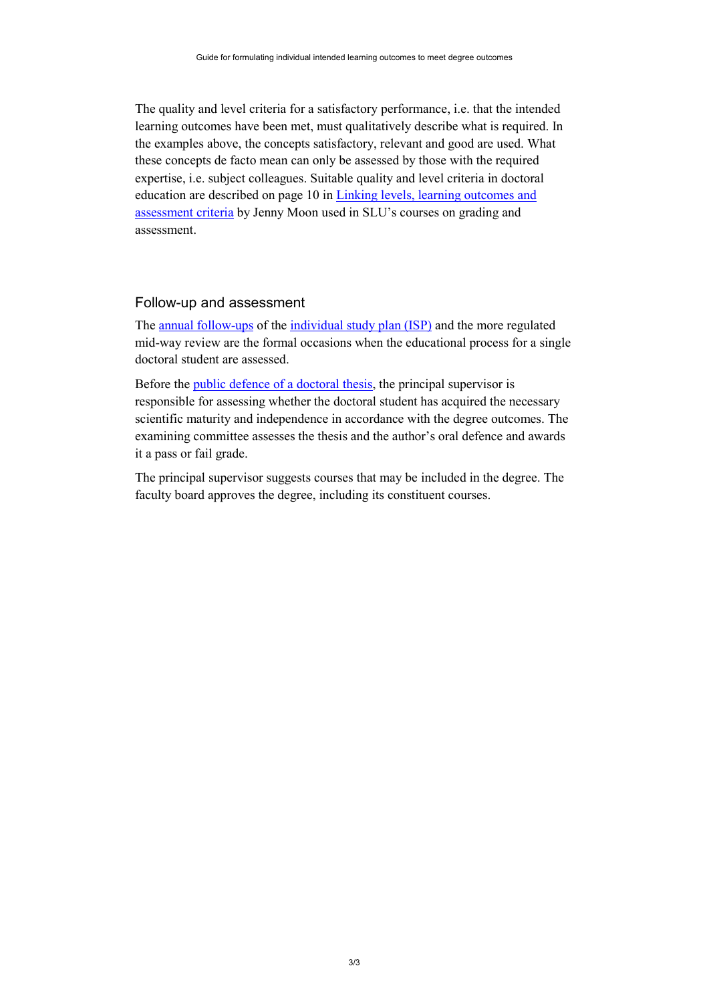The quality and level criteria for a satisfactory performance, i.e. that the intended learning outcomes have been met, must qualitatively describe what is required. In the examples above, the concepts satisfactory, relevant and good are used. What these concepts de facto mean can only be assessed by those with the required expertise, i.e. subject colleagues. Suitable quality and level criteria in doctoral education are described on page 10 in [Linking levels, learning outcomes and](http://www.ehea.info/media.ehea.info/file/Learning_Outcomes_Edinburgh_2004/77/4/040701-02Linking_Levels_plus_ass_crit-Moon_577774.pdf)  [assessment criteria](http://www.ehea.info/media.ehea.info/file/Learning_Outcomes_Edinburgh_2004/77/4/040701-02Linking_Levels_plus_ass_crit-Moon_577774.pdf) by Jenny Moon used in SLU's courses on grading and assessment.

#### Follow-up and assessment

The [annual follow-ups](https://internt.slu.se/en/support-services/education/doctoral-education1/doctoral-education-content/planning-and-follow-up/the-isp-portal/) of the [individual study plan \(ISP\)](https://internt.slu.se/en/support-services/education/doctoral-education1/doctoral-education-content/planning-and-follow-up/the-isp-portal/) and the more regulated mid-way review are the formal occasions when the educational process for a single doctoral student are assessed.

Before the [public defence of a doctoral thesis,](https://internt.slu.se/en/support-services/education/doctoral-education1/defence-of-doctoral-thesis-or-licentiate-seminar/) the principal supervisor is responsible for assessing whether the doctoral student has acquired the necessary scientific maturity and independence in accordance with the degree outcomes. The examining committee assesses the thesis and the author's oral defence and awards it a pass or fail grade.

The principal supervisor suggests courses that may be included in the degree. The faculty board approves the degree, including its constituent courses.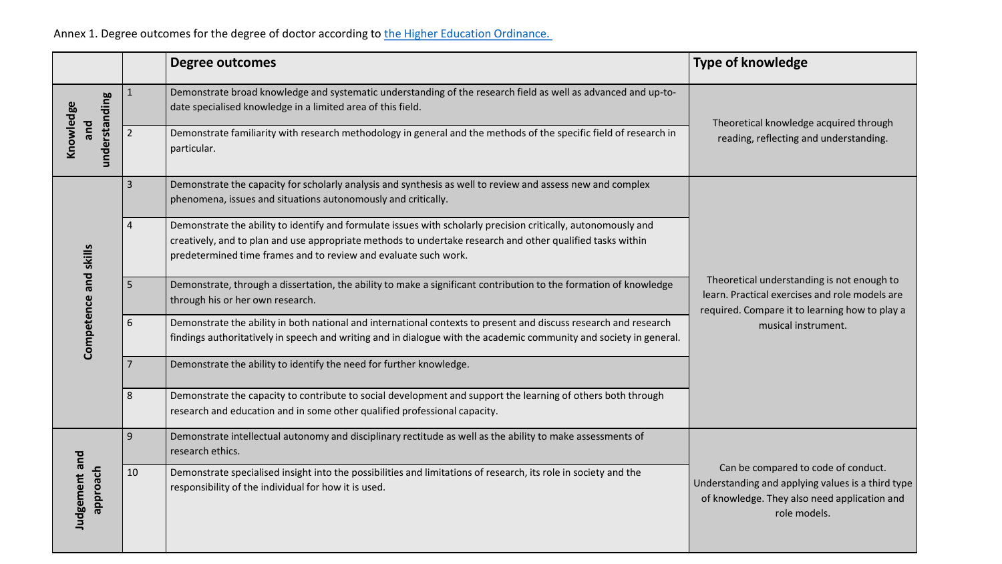Annex 1. Degree outcomes for the degree of doctor according to the Higher Education Ordinance.

|                                   |                | <b>Degree outcomes</b>                                                                                                                                                                                                                                                                          | <b>Type of knowledge</b>                                                                                                                                 |
|-----------------------------------|----------------|-------------------------------------------------------------------------------------------------------------------------------------------------------------------------------------------------------------------------------------------------------------------------------------------------|----------------------------------------------------------------------------------------------------------------------------------------------------------|
| understanding<br>Knowledge<br>pue |                | Demonstrate broad knowledge and systematic understanding of the research field as well as advanced and up-to-<br>date specialised knowledge in a limited area of this field.                                                                                                                    | Theoretical knowledge acquired through<br>reading, reflecting and understanding.                                                                         |
|                                   | $\overline{2}$ | Demonstrate familiarity with research methodology in general and the methods of the specific field of research in<br>particular.                                                                                                                                                                |                                                                                                                                                          |
| Competence and skills             | 3              | Demonstrate the capacity for scholarly analysis and synthesis as well to review and assess new and complex<br>phenomena, issues and situations autonomously and critically.                                                                                                                     |                                                                                                                                                          |
|                                   | $\overline{4}$ | Demonstrate the ability to identify and formulate issues with scholarly precision critically, autonomously and<br>creatively, and to plan and use appropriate methods to undertake research and other qualified tasks within<br>predetermined time frames and to review and evaluate such work. |                                                                                                                                                          |
|                                   | 5              | Demonstrate, through a dissertation, the ability to make a significant contribution to the formation of knowledge<br>through his or her own research.                                                                                                                                           | Theoretical understanding is not enough to<br>learn. Practical exercises and role models are<br>required. Compare it to learning how to play a           |
|                                   | 6              | Demonstrate the ability in both national and international contexts to present and discuss research and research<br>findings authoritatively in speech and writing and in dialogue with the academic community and society in general.                                                          | musical instrument.                                                                                                                                      |
|                                   | $\overline{7}$ | Demonstrate the ability to identify the need for further knowledge.                                                                                                                                                                                                                             |                                                                                                                                                          |
|                                   | 8              | Demonstrate the capacity to contribute to social development and support the learning of others both through<br>research and education and in some other qualified professional capacity.                                                                                                       |                                                                                                                                                          |
| Judgement and<br>dondde           | 9              | Demonstrate intellectual autonomy and disciplinary rectitude as well as the ability to make assessments of<br>research ethics.                                                                                                                                                                  |                                                                                                                                                          |
|                                   | 10             | Demonstrate specialised insight into the possibilities and limitations of research, its role in society and the<br>responsibility of the individual for how it is used.                                                                                                                         | Can be compared to code of conduct.<br>Understanding and applying values is a third type<br>of knowledge. They also need application and<br>role models. |